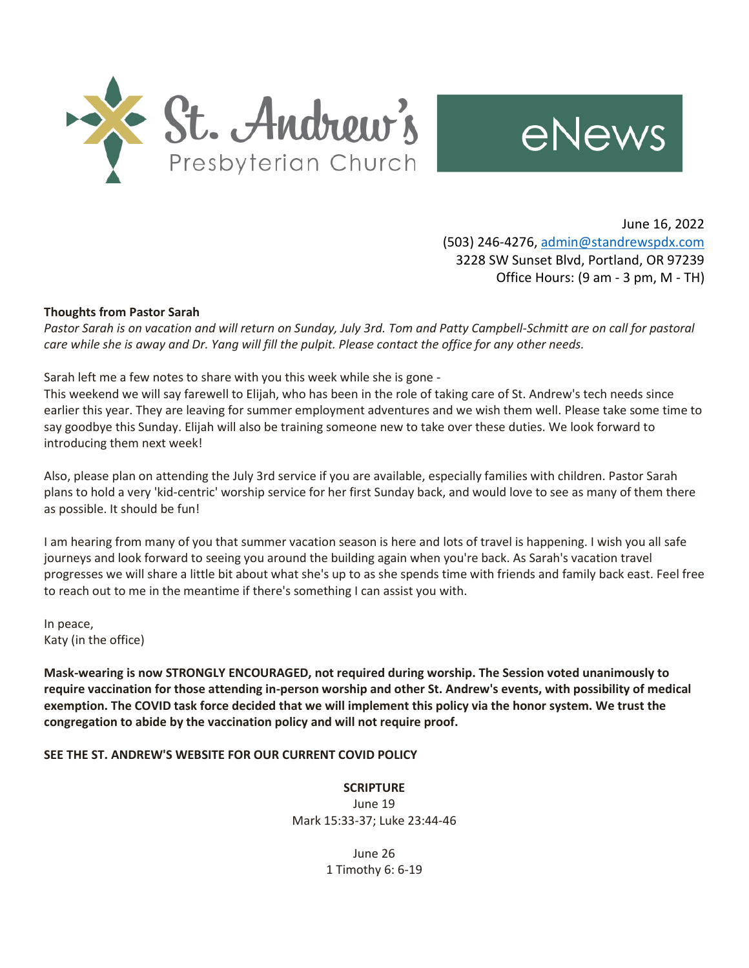



June 16, 2022 (503) 246-4276, [admin@standrewspdx.com](mailto:admin@standrewspdx.com) 3228 SW Sunset Blvd, Portland, OR 97239 Office Hours: (9 am - 3 pm, M - TH)

#### **Thoughts from Pastor Sarah**

*Pastor Sarah is on vacation and will return on Sunday, July 3rd. Tom and Patty Campbell-Schmitt are on call for pastoral care while she is away and Dr. Yang will fill the pulpit. Please contact the office for any other needs.*

Sarah left me a few notes to share with you this week while she is gone -

This weekend we will say farewell to Elijah, who has been in the role of taking care of St. Andrew's tech needs since earlier this year. They are leaving for summer employment adventures and we wish them well. Please take some time to say goodbye this Sunday. Elijah will also be training someone new to take over these duties. We look forward to introducing them next week!

Also, please plan on attending the July 3rd service if you are available, especially families with children. Pastor Sarah plans to hold a very 'kid-centric' worship service for her first Sunday back, and would love to see as many of them there as possible. It should be fun!

I am hearing from many of you that summer vacation season is here and lots of travel is happening. I wish you all safe journeys and look forward to seeing you around the building again when you're back. As Sarah's vacation travel progresses we will share a little bit about what she's up to as she spends time with friends and family back east. Feel free to reach out to me in the meantime if there's something I can assist you with.

In peace, Katy (in the office)

**Mask-wearing is now STRONGLY ENCOURAGED, not required during worship. The Session voted unanimously to require vaccination for those attending in-person worship and other St. Andrew's events, with possibility of medical exemption. The COVID task force decided that we will implement this policy via the honor system. We trust the congregation to abide by the vaccination policy and will not require proof.**

#### **SEE THE ST. ANDREW'S WEBSITE FOR OUR CURRENT COVID POLICY**

**SCRIPTURE** June 19 Mark 15:33-37; Luke 23:44-46

> June 26 1 Timothy 6: 6-19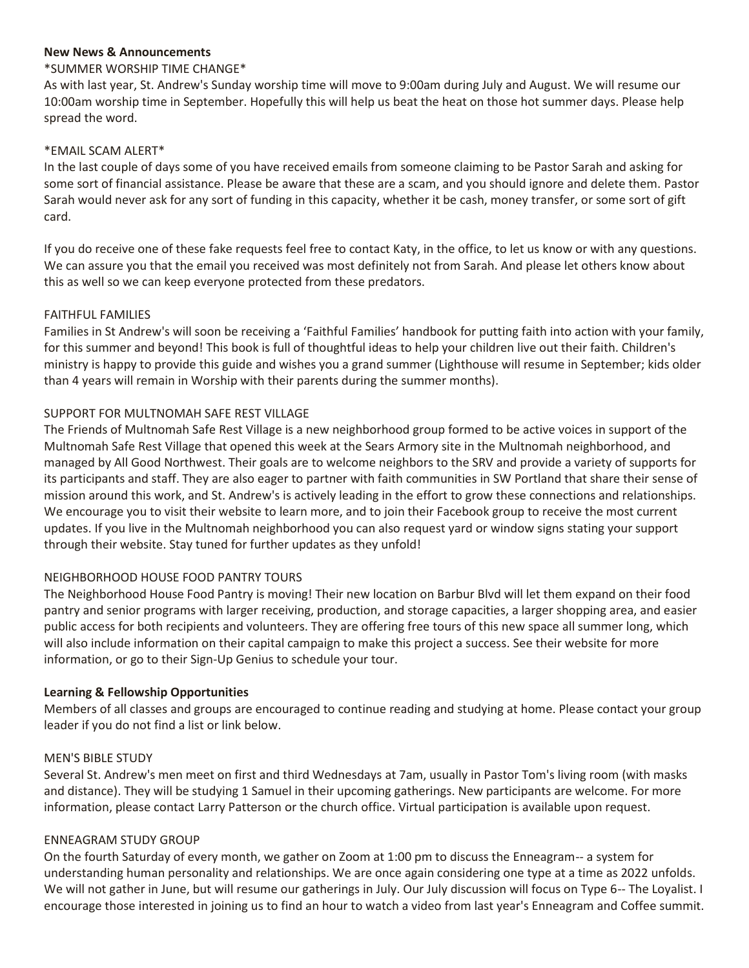### **New News & Announcements**

### \*SUMMER WORSHIP TIME CHANGE\*

As with last year, St. Andrew's Sunday worship time will move to 9:00am during July and August. We will resume our 10:00am worship time in September. Hopefully this will help us beat the heat on those hot summer days. Please help spread the word.

### \*EMAIL SCAM ALERT\*

In the last couple of days some of you have received emails from someone claiming to be Pastor Sarah and asking for some sort of financial assistance. Please be aware that these are a scam, and you should ignore and delete them. Pastor Sarah would never ask for any sort of funding in this capacity, whether it be cash, money transfer, or some sort of gift card.

If you do receive one of these fake requests feel free to contact Katy, in the office, to let us know or with any questions. We can assure you that the email you received was most definitely not from Sarah. And please let others know about this as well so we can keep everyone protected from these predators.

#### FAITHFUL FAMILIES

Families in St Andrew's will soon be receiving a 'Faithful Families' handbook for putting faith into action with your family, for this summer and beyond! This book is full of thoughtful ideas to help your children live out their faith. Children's ministry is happy to provide this guide and wishes you a grand summer (Lighthouse will resume in September; kids older than 4 years will remain in Worship with their parents during the summer months).

### SUPPORT FOR MULTNOMAH SAFE REST VILLAGE

The Friends of Multnomah Safe Rest Village is a new neighborhood group formed to be active voices in support of the Multnomah Safe Rest Village that opened this week at the Sears Armory site in the Multnomah neighborhood, and managed by All Good Northwest. Their goals are to welcome neighbors to the SRV and provide a variety of supports for its participants and staff. They are also eager to partner with faith communities in SW Portland that share their sense of mission around this work, and St. Andrew's is actively leading in the effort to grow these connections and relationships. We encourage you to visit their website to learn more, and to join their Facebook group to receive the most current updates. If you live in the Multnomah neighborhood you can also request yard or window signs stating your support through their website. Stay tuned for further updates as they unfold!

### NEIGHBORHOOD HOUSE FOOD PANTRY TOURS

The Neighborhood House Food Pantry is moving! Their new location on Barbur Blvd will let them expand on their food pantry and senior programs with larger receiving, production, and storage capacities, a larger shopping area, and easier public access for both recipients and volunteers. They are offering free tours of this new space all summer long, which will also include information on their capital campaign to make this project a success. See their website for more information, or go to their Sign-Up Genius to schedule your tour.

### **Learning & Fellowship Opportunities**

Members of all classes and groups are encouraged to continue reading and studying at home. Please contact your group leader if you do not find a list or link below.

### MEN'S BIBLE STUDY

Several St. Andrew's men meet on first and third Wednesdays at 7am, usually in Pastor Tom's living room (with masks and distance). They will be studying 1 Samuel in their upcoming gatherings. New participants are welcome. For more information, please contact Larry Patterson or the church office. Virtual participation is available upon request.

### ENNEAGRAM STUDY GROUP

On the fourth Saturday of every month, we gather on Zoom at 1:00 pm to discuss the Enneagram-- a system for understanding human personality and relationships. We are once again considering one type at a time as 2022 unfolds. We will not gather in June, but will resume our gatherings in July. Our July discussion will focus on Type 6-- The Loyalist. I encourage those interested in joining us to find an hour to watch a video from last year's Enneagram and Coffee summit.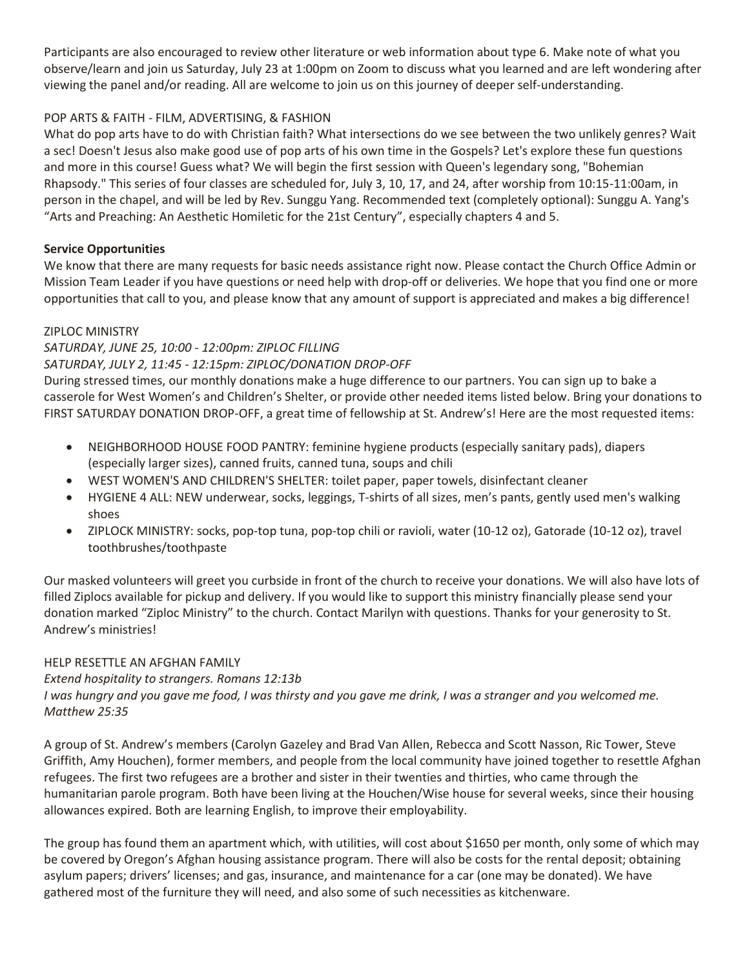Participants are also encouraged to review other literature or web information about type 6. Make note of what you observe/learn and join us Saturday, July 23 at 1:00pm on Zoom to discuss what you learned and are left wondering after viewing the panel and/or reading. All are welcome to join us on this journey of deeper self-understanding.

# POP ARTS & FAITH - FILM, ADVERTISING, & FASHION

What do pop arts have to do with Christian faith? What intersections do we see between the two unlikely genres? Wait a sec! Doesn't Jesus also make good use of pop arts of his own time in the Gospels? Let's explore these fun questions and more in this course! Guess what? We will begin the first session with Queen's legendary song, "Bohemian Rhapsody." This series of four classes are scheduled for, July 3, 10, 17, and 24, after worship from 10:15-11:00am, in person in the chapel, and will be led by Rev. Sunggu Yang. Recommended text (completely optional): Sunggu A. Yang's "Arts and Preaching: An Aesthetic Homiletic for the 21st Century", especially chapters 4 and 5.

# **Service Opportunities**

We know that there are many requests for basic needs assistance right now. Please contact the Church Office Admin or Mission Team Leader if you have questions or need help with drop-off or deliveries. We hope that you find one or more opportunities that call to you, and please know that any amount of support is appreciated and makes a big difference!

## ZIPLOC MINISTRY

### *SATURDAY, JUNE 25, 10:00 - 12:00pm: ZIPLOC FILLING SATURDAY, JULY 2, 11:45 - 12:15pm: ZIPLOC/DONATION DROP-OFF*

During stressed times, our monthly donations make a huge difference to our partners. You can sign up to bake a casserole for West Women's and Children's Shelter, or provide other needed items listed below. Bring your donations to FIRST SATURDAY DONATION DROP-OFF, a great time of fellowship at St. Andrew's! Here are the most requested items:

- NEIGHBORHOOD HOUSE FOOD PANTRY: feminine hygiene products (especially sanitary pads), diapers (especially larger sizes), canned fruits, canned tuna, soups and chili
- WEST WOMEN'S AND CHILDREN'S SHELTER: toilet paper, paper towels, disinfectant cleaner
- HYGIENE 4 ALL: NEW underwear, socks, leggings, T-shirts of all sizes, men's pants, gently used men's walking shoes
- ZIPLOCK MINISTRY: socks, pop-top tuna, pop-top chili or ravioli, water (10-12 oz), Gatorade (10-12 oz), travel toothbrushes/toothpaste

Our masked volunteers will greet you curbside in front of the church to receive your donations. We will also have lots of filled Ziplocs available for pickup and delivery. If you would like to support this ministry financially please send your donation marked "Ziploc Ministry" to the church. Contact Marilyn with questions. Thanks for your generosity to St. Andrew's ministries!

## HELP RESETTLE AN AFGHAN FAMILY

*Extend hospitality to strangers. Romans 12:13b*

*I was hungry and you gave me food, I was thirsty and you gave me drink, I was a stranger and you welcomed me. Matthew 25:35*

A group of St. Andrew's members (Carolyn Gazeley and Brad Van Allen, Rebecca and Scott Nasson, Ric Tower, Steve Griffith, Amy Houchen), former members, and people from the local community have joined together to resettle Afghan refugees. The first two refugees are a brother and sister in their twenties and thirties, who came through the humanitarian parole program. Both have been living at the Houchen/Wise house for several weeks, since their housing allowances expired. Both are learning English, to improve their employability.

The group has found them an apartment which, with utilities, will cost about \$1650 per month, only some of which may be covered by Oregon's Afghan housing assistance program. There will also be costs for the rental deposit; obtaining asylum papers; drivers' licenses; and gas, insurance, and maintenance for a car (one may be donated). We have gathered most of the furniture they will need, and also some of such necessities as kitchenware.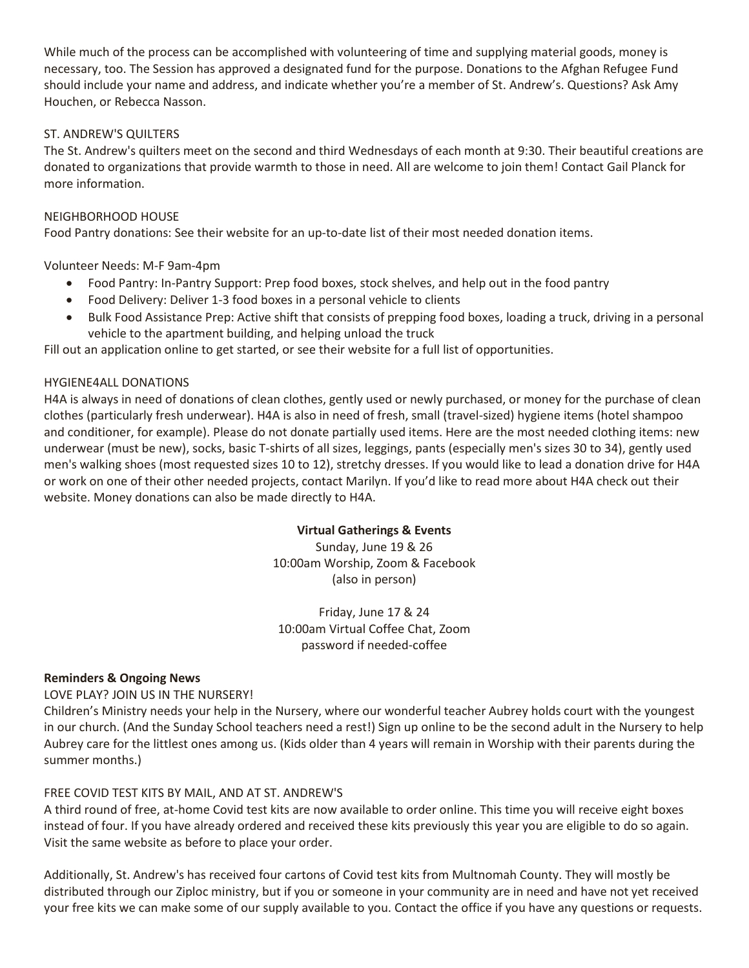While much of the process can be accomplished with volunteering of time and supplying material goods, money is necessary, too. The Session has approved a designated fund for the purpose. Donations to the Afghan Refugee Fund should include your name and address, and indicate whether you're a member of St. Andrew's. Questions? Ask Amy Houchen, or Rebecca Nasson.

### ST. ANDREW'S QUILTERS

The St. Andrew's quilters meet on the second and third Wednesdays of each month at 9:30. Their beautiful creations are donated to organizations that provide warmth to those in need. All are welcome to join them! Contact Gail Planck for more information.

### NEIGHBORHOOD HOUSE

Food Pantry donations: See their website for an up-to-date list of their most needed donation items.

### Volunteer Needs: M-F 9am-4pm

- Food Pantry: In-Pantry Support: Prep food boxes, stock shelves, and help out in the food pantry
- Food Delivery: Deliver 1-3 food boxes in a personal vehicle to clients
- Bulk Food Assistance Prep: Active shift that consists of prepping food boxes, loading a truck, driving in a personal vehicle to the apartment building, and helping unload the truck

Fill out an application online to get started, or see their website for a full list of opportunities.

### HYGIENE4ALL DONATIONS

H4A is always in need of donations of clean clothes, gently used or newly purchased, or money for the purchase of clean clothes (particularly fresh underwear). H4A is also in need of fresh, small (travel-sized) hygiene items (hotel shampoo and conditioner, for example). Please do not donate partially used items. Here are the most needed clothing items: new underwear (must be new), socks, basic T-shirts of all sizes, leggings, pants (especially men's sizes 30 to 34), gently used men's walking shoes (most requested sizes 10 to 12), stretchy dresses. If you would like to lead a donation drive for H4A or work on one of their other needed projects, contact Marilyn. If you'd like to read more about H4A check out their website. Money donations can also be made directly to H4A.

### **Virtual Gatherings & Events**

Sunday, June 19 & 26 10:00am Worship, Zoom & Facebook (also in person)

Friday, June 17 & 24 10:00am Virtual Coffee Chat, Zoom password if needed-coffee

### **Reminders & Ongoing News**

### LOVE PLAY? JOIN US IN THE NURSERY!

Children's Ministry needs your help in the Nursery, where our wonderful teacher Aubrey holds court with the youngest in our church. (And the Sunday School teachers need a rest!) Sign up online to be the second adult in the Nursery to help Aubrey care for the littlest ones among us. (Kids older than 4 years will remain in Worship with their parents during the summer months.)

## FREE COVID TEST KITS BY MAIL, AND AT ST. ANDREW'S

A third round of free, at-home Covid test kits are now available to order online. This time you will receive eight boxes instead of four. If you have already ordered and received these kits previously this year you are eligible to do so again. Visit the same website as before to place your order.

Additionally, St. Andrew's has received four cartons of Covid test kits from Multnomah County. They will mostly be distributed through our Ziploc ministry, but if you or someone in your community are in need and have not yet received your free kits we can make some of our supply available to you. Contact the office if you have any questions or requests.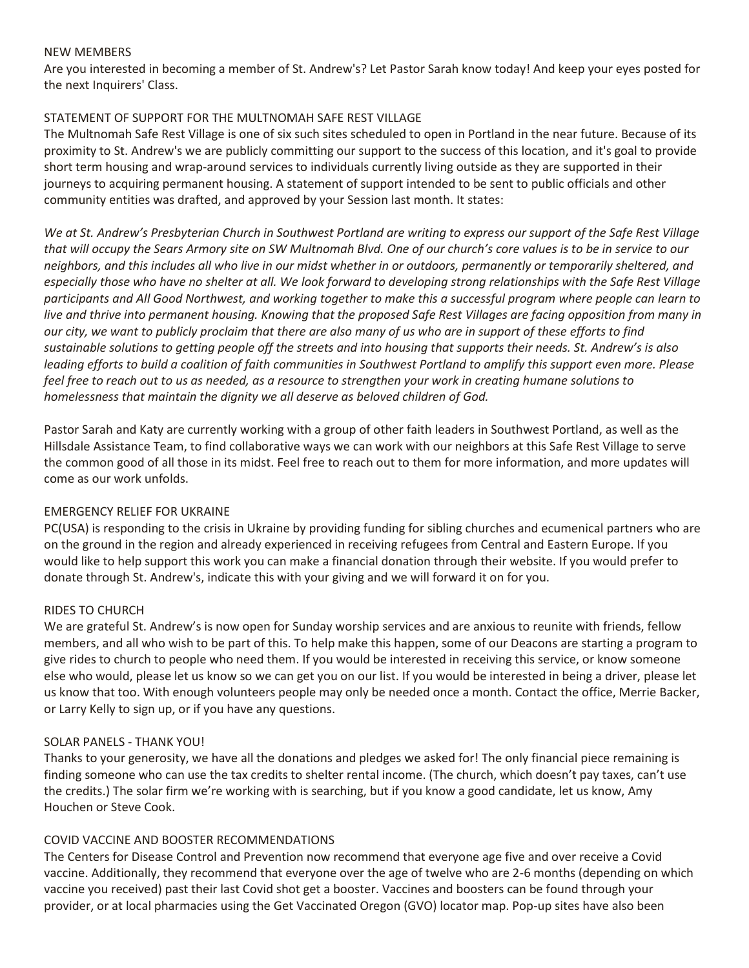#### NEW MEMBERS

Are you interested in becoming a member of St. Andrew's? Let Pastor Sarah know today! And keep your eyes posted for the next Inquirers' Class.

### STATEMENT OF SUPPORT FOR THE MULTNOMAH SAFE REST VILLAGE

The Multnomah Safe Rest Village is one of six such sites scheduled to open in Portland in the near future. Because of its proximity to St. Andrew's we are publicly committing our support to the success of this location, and it's goal to provide short term housing and wrap-around services to individuals currently living outside as they are supported in their journeys to acquiring permanent housing. A statement of support intended to be sent to public officials and other community entities was drafted, and approved by your Session last month. It states:

*We at St. Andrew's Presbyterian Church in Southwest Portland are writing to express our support of the Safe Rest Village that will occupy the Sears Armory site on SW Multnomah Blvd. One of our church's core values is to be in service to our neighbors, and this includes all who live in our midst whether in or outdoors, permanently or temporarily sheltered, and especially those who have no shelter at all. We look forward to developing strong relationships with the Safe Rest Village participants and All Good Northwest, and working together to make this a successful program where people can learn to live and thrive into permanent housing. Knowing that the proposed Safe Rest Villages are facing opposition from many in our city, we want to publicly proclaim that there are also many of us who are in support of these efforts to find sustainable solutions to getting people off the streets and into housing that supports their needs. St. Andrew's is also leading efforts to build a coalition of faith communities in Southwest Portland to amplify this support even more. Please feel free to reach out to us as needed, as a resource to strengthen your work in creating humane solutions to homelessness that maintain the dignity we all deserve as beloved children of God.*

Pastor Sarah and Katy are currently working with a group of other faith leaders in Southwest Portland, as well as the Hillsdale Assistance Team, to find collaborative ways we can work with our neighbors at this Safe Rest Village to serve the common good of all those in its midst. Feel free to reach out to them for more information, and more updates will come as our work unfolds.

### EMERGENCY RELIEF FOR UKRAINE

PC(USA) is responding to the crisis in Ukraine by providing funding for sibling churches and ecumenical partners who are on the ground in the region and already experienced in receiving refugees from Central and Eastern Europe. If you would like to help support this work you can make a financial donation through their website. If you would prefer to donate through St. Andrew's, indicate this with your giving and we will forward it on for you.

## RIDES TO CHURCH

We are grateful St. Andrew's is now open for Sunday worship services and are anxious to reunite with friends, fellow members, and all who wish to be part of this. To help make this happen, some of our Deacons are starting a program to give rides to church to people who need them. If you would be interested in receiving this service, or know someone else who would, please let us know so we can get you on our list. If you would be interested in being a driver, please let us know that too. With enough volunteers people may only be needed once a month. Contact the office, Merrie Backer, or Larry Kelly to sign up, or if you have any questions.

### SOLAR PANELS - THANK YOU!

Thanks to your generosity, we have all the donations and pledges we asked for! The only financial piece remaining is finding someone who can use the tax credits to shelter rental income. (The church, which doesn't pay taxes, can't use the credits.) The solar firm we're working with is searching, but if you know a good candidate, let us know, Amy Houchen or Steve Cook.

### COVID VACCINE AND BOOSTER RECOMMENDATIONS

The Centers for Disease Control and Prevention now recommend that everyone age five and over receive a Covid vaccine. Additionally, they recommend that everyone over the age of twelve who are 2-6 months (depending on which vaccine you received) past their last Covid shot get a booster. Vaccines and boosters can be found through your provider, or at local pharmacies using the Get Vaccinated Oregon (GVO) locator map. Pop-up sites have also been